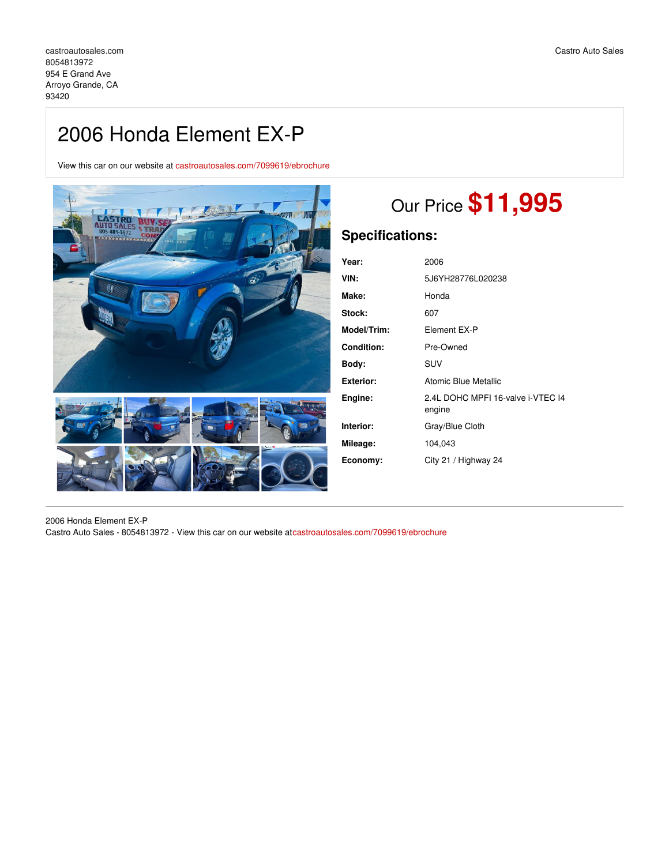# 2006 Honda Element EX-P

View this car on our website at [castroautosales.com/7099619/ebrochure](https://castroautosales.com/vehicle/7099619/2006-honda-element-ex-p-arroyo-grande-ca-93420/7099619/ebrochure)



# Our Price **\$11,995**

# **Specifications:**

| Year:             | 2006                                        |
|-------------------|---------------------------------------------|
| VIN:              | 5J6YH28776L020238                           |
| Make:             | Honda                                       |
| <b>Stock:</b>     | 607                                         |
| Model/Trim:       | Element EX-P                                |
| <b>Condition:</b> | Pre-Owned                                   |
| Body:             | SUV                                         |
| Exterior:         | Atomic Blue Metallic                        |
| Engine:           | 2.4L DOHC MPFI 16-valve i-VTEC I4<br>engine |
| Interior:         | Gray/Blue Cloth                             |
| Mileage:          | 104,043                                     |
| Economy:          | City 21 / Highway 24                        |

2006 Honda Element EX-P Castro Auto Sales - 8054813972 - View this car on our website at[castroautosales.com/7099619/ebrochure](https://castroautosales.com/vehicle/7099619/2006-honda-element-ex-p-arroyo-grande-ca-93420/7099619/ebrochure)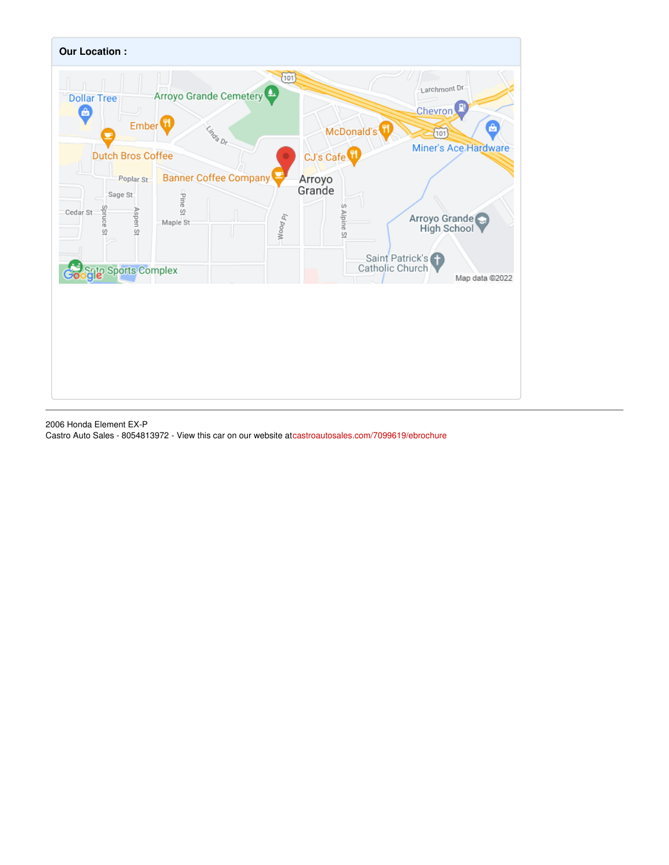

2006 Honda Element EX-P Castro Auto Sales - 8054813972 - View this car on our website at[castroautosales.com/7099619/ebrochure](https://castroautosales.com/vehicle/7099619/2006-honda-element-ex-p-arroyo-grande-ca-93420/7099619/ebrochure)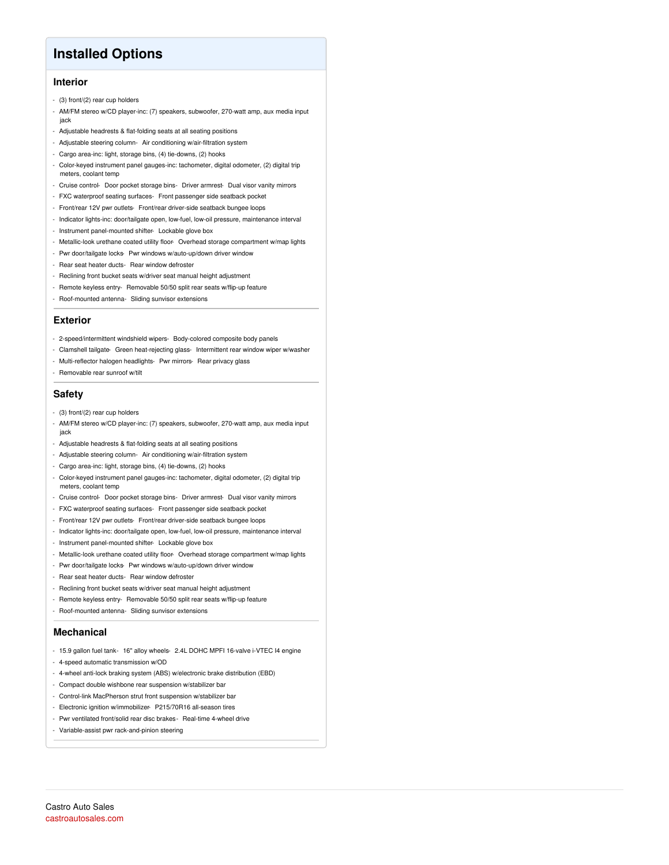## **Installed Options**

### **Interior**

- (3) front/(2) rear cup holders
- AM/FM stereo w/CD player-inc: (7) speakers, subwoofer, 270-watt amp, aux media input jack
- Adjustable headrests & flat-folding seats at all seating positions
- Adjustable steering column- Air conditioning w/air-filtration system
- Cargo area-inc: light, storage bins, (4) tie-downs, (2) hooks
- Color-keyed instrument panel gauges-inc: tachometer, digital odometer, (2) digital trip meters, coolant temp
- Cruise control- Door pocket storage bins- Driver armrest- Dual visor vanity mirrors
- FXC waterproof seating surfaces- Front passenger side seatback pocket
- Front/rear 12V pwr outlets- Front/rear driver-side seatback bungee loops
- Indicator lights-inc: door/tailgate open, low-fuel, low-oil pressure, maintenance interval
- Instrument panel-mounted shifter- Lockable glove box
- Metallic-look urethane coated utility floor- Overhead storage compartment w/map lights
- Pwr door/tailgate locks- Pwr windows w/auto-up/down driver window
- Rear seat heater ducts- Rear window defroster
- Reclining front bucket seats w/driver seat manual height adjustment
- Remote keyless entry- Removable 50/50 split rear seats w/flip-up feature
- Roof-mounted antenna- Sliding sunvisor extensions

#### **Exterior**

- 2-speed/intermittent windshield wipers- Body-colored composite body panels
- Clamshell tailgate- Green heat-rejecting glass- Intermittent rear window wiper w/washer
- Multi-reflector halogen headlights- Pwr mirrors- Rear privacy glass
- Removable rear sunroof w/tilt

#### **Safety**

- (3) front/(2) rear cup holders
- AM/FM stereo w/CD player-inc: (7) speakers, subwoofer, 270-watt amp, aux media input jack
- Adjustable headrests & flat-folding seats at all seating positions
- Adjustable steering column- Air conditioning w/air-filtration system
- Cargo area-inc: light, storage bins, (4) tie-downs, (2) hooks
- Color-keyed instrument panel gauges-inc: tachometer, digital odometer, (2) digital trip meters, coolant temp
- Cruise control- Door pocket storage bins- Driver armrest- Dual visor vanity mirrors
- FXC waterproof seating surfaces- Front passenger side seatback pocket
- Front/rear 12V pwr outlets- Front/rear driver-side seatback bungee loops
- Indicator lights-inc: door/tailgate open, low-fuel, low-oil pressure, maintenance interval
- Instrument panel-mounted shifter- Lockable glove box
- Metallic-look urethane coated utility floor- Overhead storage compartment w/map lights
- Pwr door/tailgate locks- Pwr windows w/auto-up/down driver window
- Rear seat heater ducts- Rear window defroster
- Reclining front bucket seats w/driver seat manual height adjustment
- Remote keyless entry- Removable 50/50 split rear seats w/flip-up feature
- Roof-mounted antenna- Sliding sunvisor extensions

### **Mechanical**

- 15.9 gallon fuel tank- 16" alloy wheels- 2.4L DOHC MPFI 16-valve i-VTEC I4 engine
- 4-speed automatic transmission w/OD
- 4-wheel anti-lock braking system (ABS) w/electronic brake distribution (EBD)
- Compact double wishbone rear suspension w/stabilizer bar
- Control-link MacPherson strut front suspension w/stabilizer bar
- Electronic ignition w/immobilizer- P215/70R16 all-season tires
- Pwr ventilated front/solid rear disc brakes- Real-time 4-wheel drive
- Variable-assist pwr rack-and-pinion steering